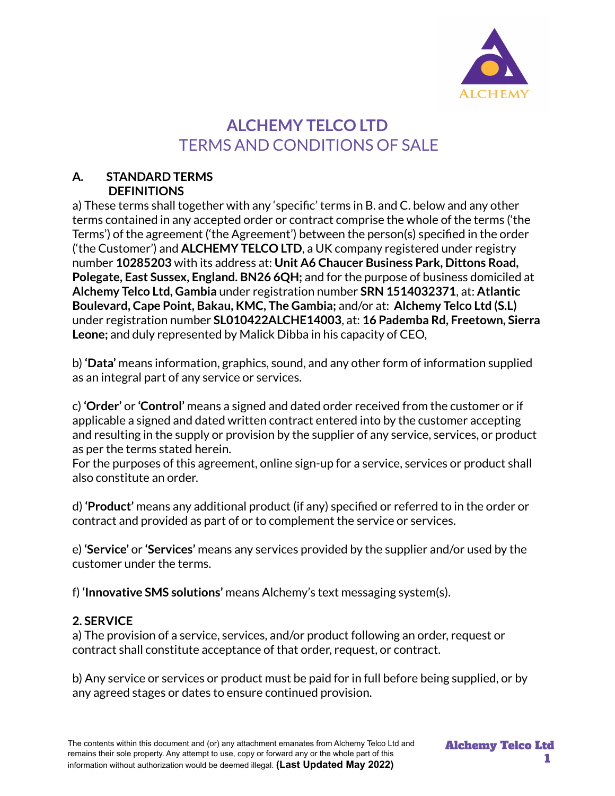

# **ALCHEMY TELCO LTD** TERMS AND CONDITIONS OF SALE

#### **A. STANDARD TERMS DEFINITIONS**

a) These terms shall together with any 'specific' terms in B. and C. below and any other terms contained in any accepted order or contract comprise the whole of the terms ('the Terms') of the agreement ('the Agreement') between the person(s) specified in the order ('the Customer') and **ALCHEMY TELCO LTD**, a UK company registered under registry number **10285203** with its address at: **Unit A6 Chaucer Business Park, Dittons Road, Polegate, East Sussex, England. BN26 6QH;** and for the purpose of business domiciled at **Alchemy Telco Ltd, Gambia** under registration number **SRN 1514032371**, at: **Atlantic Boulevard, Cape Point, Bakau, KMC, The Gambia;** and/or at: **Alchemy Telco Ltd (S.L)** under registration number **SL010422ALCHE14003**, at: **16 Pademba Rd, Freetown, Sierra Leone;** and duly represented by Malick Dibba in his capacity of CEO,

b) **'Data'** means information, graphics, sound, and any other form of information supplied as an integral part of any service or services.

c) **'Order'** or **'Control'** means a signed and dated order received from the customer or if applicable a signed and dated written contract entered into by the customer accepting and resulting in the supply or provision by the supplier of any service, services, or product as per the terms stated herein.

For the purposes of this agreement, online sign-up for a service, services or product shall also constitute an order.

d) **'Product'** means any additional product (if any) specified or referred to in the order or contract and provided as part of or to complement the service or services.

e) **'Service'** or **'Services'** means any services provided by the supplier and/or used by the customer under the terms.

f) **'Innovative SMS solutions'** means Alchemy's text messaging system(s).

# **2. SERVICE**

a) The provision of a service, services, and/or product following an order, request or contract shall constitute acceptance of that order, request, or contract.

b) Any service or services or product must be paid for in full before being supplied, or by any agreed stages or dates to ensure continued provision.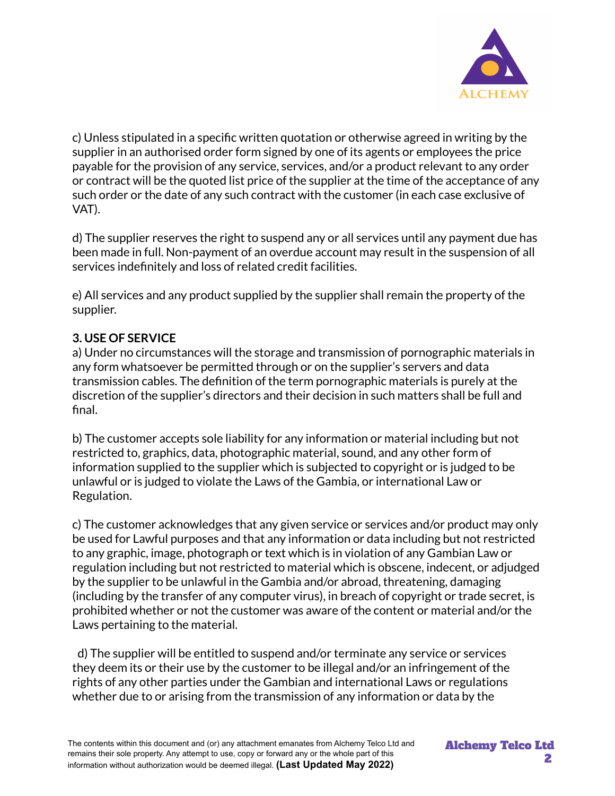

c) Unless stipulated in a specific written quotation or otherwise agreed in writing by the supplier in an authorised order form signed by one of its agents or employees the price payable for the provision of any service, services, and/or a product relevant to any order or contract will be the quoted list price of the supplier at the time of the acceptance of any such order or the date of any such contract with the customer (in each case exclusive of VAT).

d) The supplier reserves the right to suspend any or all services until any payment due has been made in full. Non-payment of an overdue account may result in the suspension of all services indefinitely and loss of related credit facilities.

e) All services and any product supplied by the supplier shall remain the property of the supplier.

# **3. USE OF SERVICE**

a) Under no circumstances will the storage and transmission of pornographic materials in any form whatsoever be permitted through or on the supplier's servers and data transmission cables. The definition of the term pornographic materials is purely at the discretion of the supplier's directors and their decision in such matters shall be full and final.

b) The customer accepts sole liability for any information or material including but not restricted to, graphics, data, photographic material, sound, and any other form of information supplied to the supplier which is subjected to copyright or is judged to be unlawful or is judged to violate the Laws of the Gambia, or international Law or Regulation.

c) The customer acknowledges that any given service or services and/or product may only be used for Lawful purposes and that any information or data including but not restricted to any graphic, image, photograph or text which is in violation of any Gambian Law or regulation including but not restricted to material which is obscene, indecent, or adjudged by the supplier to be unlawful in the Gambia and/or abroad, threatening, damaging (including by the transfer of any computer virus), in breach of copyright or trade secret, is prohibited whether or not the customer was aware of the content or material and/or the Laws pertaining to the material.

d) The supplier will be entitled to suspend and/or terminate any service or services they deem its or their use by the customer to be illegal and/or an infringement of the rights of any other parties under the Gambian and international Laws or regulations whether due to or arising from the transmission of any information or data by the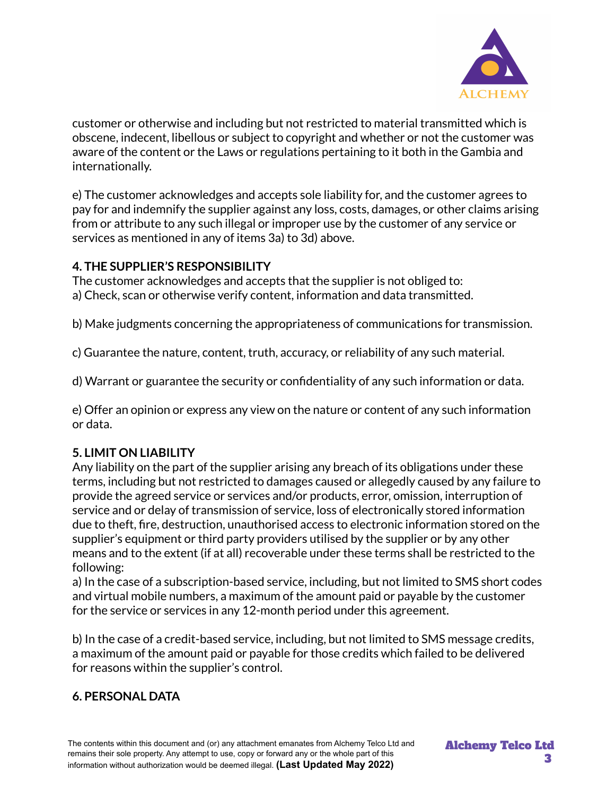

customer or otherwise and including but not restricted to material transmitted which is obscene, indecent, libellous or subject to copyright and whether or not the customer was aware of the content or the Laws or regulations pertaining to it both in the Gambia and internationally.

e) The customer acknowledges and accepts sole liability for, and the customer agrees to pay for and indemnify the supplier against any loss, costs, damages, or other claims arising from or attribute to any such illegal or improper use by the customer of any service or services as mentioned in any of items 3a) to 3d) above.

### **4. THE SUPPLIER'S RESPONSIBILITY**

The customer acknowledges and accepts that the supplier is not obliged to: a) Check, scan or otherwise verify content, information and data transmitted.

b) Make judgments concerning the appropriateness of communications for transmission.

c) Guarantee the nature, content, truth, accuracy, or reliability of any such material.

d) Warrant or guarantee the security or confidentiality of any such information or data.

e) Offer an opinion or express any view on the nature or content of any such information or data.

### **5. LIMIT ON LIABILITY**

Any liability on the part of the supplier arising any breach of its obligations under these terms, including but not restricted to damages caused or allegedly caused by any failure to provide the agreed service or services and/or products, error, omission, interruption of service and or delay of transmission of service, loss of electronically stored information due to theft, fire, destruction, unauthorised access to electronic information stored on the supplier's equipment or third party providers utilised by the supplier or by any other means and to the extent (if at all) recoverable under these terms shall be restricted to the following:

a) In the case of a subscription-based service, including, but not limited to SMS short codes and virtual mobile numbers, a maximum of the amount paid or payable by the customer for the service or services in any 12-month period under this agreement.

b) In the case of a credit-based service, including, but not limited to SMS message credits, a maximum of the amount paid or payable for those credits which failed to be delivered for reasons within the supplier's control.

### **6. PERSONAL DATA**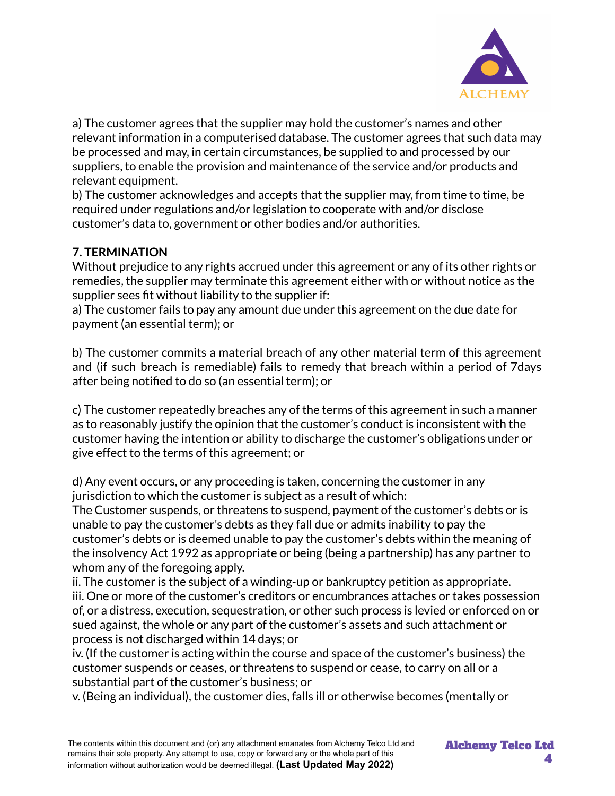

a) The customer agrees that the supplier may hold the customer's names and other relevant information in a computerised database. The customer agrees that such data may be processed and may, in certain circumstances, be supplied to and processed by our suppliers, to enable the provision and maintenance of the service and/or products and relevant equipment.

b) The customer acknowledges and accepts that the supplier may, from time to time, be required under regulations and/or legislation to cooperate with and/or disclose customer's data to, government or other bodies and/or authorities.

# **7. TERMINATION**

Without prejudice to any rights accrued under this agreement or any of its other rights or remedies, the supplier may terminate this agreement either with or without notice as the supplier sees fit without liability to the supplier if:

a) The customer fails to pay any amount due under this agreement on the due date for payment (an essential term); or

b) The customer commits a material breach of any other material term of this agreement and (if such breach is remediable) fails to remedy that breach within a period of 7days after being notified to do so (an essential term); or

c) The customer repeatedly breaches any of the terms of this agreement in such a manner as to reasonably justify the opinion that the customer's conduct is inconsistent with the customer having the intention or ability to discharge the customer's obligations under or give effect to the terms of this agreement; or

d) Any event occurs, or any proceeding is taken, concerning the customer in any jurisdiction to which the customer is subject as a result of which:

The Customer suspends, or threatens to suspend, payment of the customer's debts or is unable to pay the customer's debts as they fall due or admits inability to pay the customer's debts or is deemed unable to pay the customer's debts within the meaning of the insolvency Act 1992 as appropriate or being (being a partnership) has any partner to whom any of the foregoing apply.

ii. The customer is the subject of a winding-up or bankruptcy petition as appropriate. iii. One or more of the customer's creditors or encumbrances attaches or takes possession of, or a distress, execution, sequestration, or other such process is levied or enforced on or sued against, the whole or any part of the customer's assets and such attachment or process is not discharged within 14 days; or

iv. (If the customer is acting within the course and space of the customer's business) the customer suspends or ceases, or threatens to suspend or cease, to carry on all or a substantial part of the customer's business; or

v. (Being an individual), the customer dies, falls ill or otherwise becomes (mentally or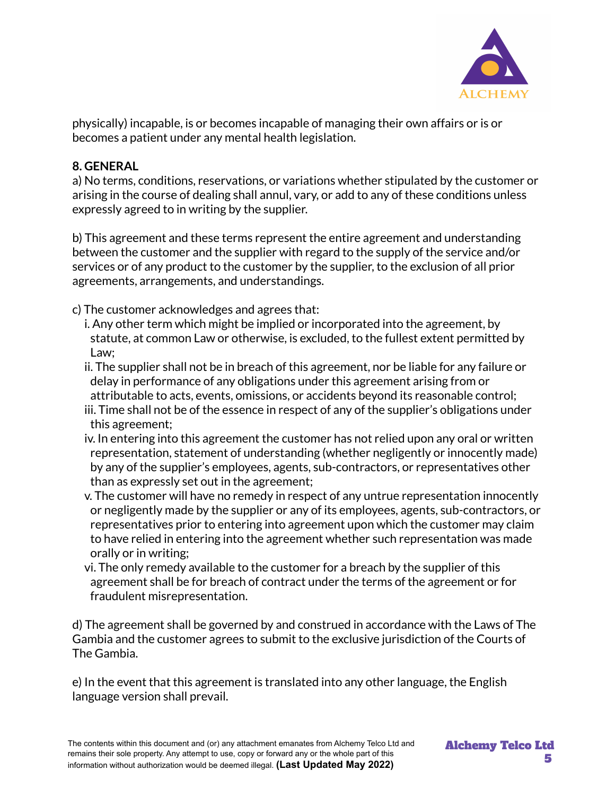

physically) incapable, is or becomes incapable of managing their own affairs or is or becomes a patient under any mental health legislation.

### **8. GENERAL**

a) No terms, conditions, reservations, or variations whether stipulated by the customer or arising in the course of dealing shall annul, vary, or add to any of these conditions unless expressly agreed to in writing by the supplier.

b) This agreement and these terms represent the entire agreement and understanding between the customer and the supplier with regard to the supply of the service and/or services or of any product to the customer by the supplier, to the exclusion of all prior agreements, arrangements, and understandings.

c) The customer acknowledges and agrees that:

- i. Any other term which might be implied or incorporated into the agreement, by statute, at common Law or otherwise, is excluded, to the fullest extent permitted by Law;
- ii. The supplier shall not be in breach of this agreement, nor be liable for any failure or delay in performance of any obligations under this agreement arising from or attributable to acts, events, omissions, or accidents beyond its reasonable control;
- iii. Time shall not be of the essence in respect of any of the supplier's obligations under this agreement;
- iv. In entering into this agreement the customer has not relied upon any oral or written representation, statement of understanding (whether negligently or innocently made) by any of the supplier's employees, agents, sub-contractors, or representatives other than as expressly set out in the agreement;
- v. The customer will have no remedy in respect of any untrue representation innocently or negligently made by the supplier or any of its employees, agents, sub-contractors, or representatives prior to entering into agreement upon which the customer may claim to have relied in entering into the agreement whether such representation was made orally or in writing;
- vi. The only remedy available to the customer for a breach by the supplier of this agreement shall be for breach of contract under the terms of the agreement or for fraudulent misrepresentation.

d) The agreement shall be governed by and construed in accordance with the Laws of The Gambia and the customer agrees to submit to the exclusive jurisdiction of the Courts of The Gambia.

e) In the event that this agreement is translated into any other language, the English language version shall prevail.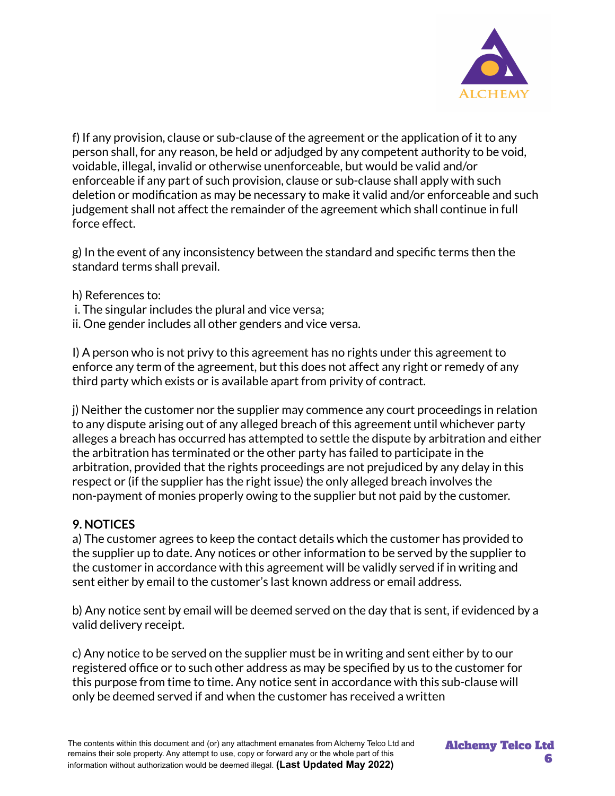

f) If any provision, clause or sub-clause of the agreement or the application of it to any person shall, for any reason, be held or adjudged by any competent authority to be void, voidable, illegal, invalid or otherwise unenforceable, but would be valid and/or enforceable if any part of such provision, clause or sub-clause shall apply with such deletion or modification as may be necessary to make it valid and/or enforceable and such judgement shall not affect the remainder of the agreement which shall continue in full force effect.

g) In the event of any inconsistency between the standard and specific terms then the standard terms shall prevail.

- h) References to:
- i. The singular includes the plural and vice versa;
- ii. One gender includes all other genders and vice versa.

I) A person who is not privy to this agreement has no rights under this agreement to enforce any term of the agreement, but this does not affect any right or remedy of any third party which exists or is available apart from privity of contract.

j) Neither the customer nor the supplier may commence any court proceedings in relation to any dispute arising out of any alleged breach of this agreement until whichever party alleges a breach has occurred has attempted to settle the dispute by arbitration and either the arbitration has terminated or the other party has failed to participate in the arbitration, provided that the rights proceedings are not prejudiced by any delay in this respect or (if the supplier has the right issue) the only alleged breach involves the non-payment of monies properly owing to the supplier but not paid by the customer.

### **9. NOTICES**

a) The customer agrees to keep the contact details which the customer has provided to the supplier up to date. Any notices or other information to be served by the supplier to the customer in accordance with this agreement will be validly served if in writing and sent either by email to the customer's last known address or email address.

b) Any notice sent by email will be deemed served on the day that is sent, if evidenced by a valid delivery receipt.

c) Any notice to be served on the supplier must be in writing and sent either by to our registered office or to such other address as may be specified by us to the customer for this purpose from time to time. Any notice sent in accordance with this sub-clause will only be deemed served if and when the customer has received a written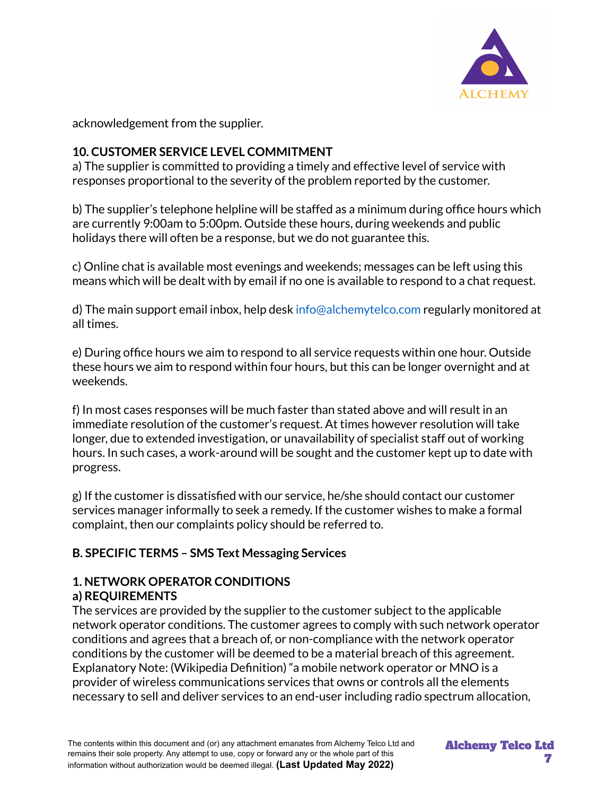

acknowledgement from the supplier.

# **10. CUSTOMER SERVICE LEVEL COMMITMENT**

a) The supplier is committed to providing a timely and effective level of service with responses proportional to the severity of the problem reported by the customer.

b) The supplier's telephone helpline will be staffed as a minimum during office hours which are currently 9:00am to 5:00pm. Outside these hours, during weekends and public holidays there will often be a response, but we do not guarantee this.

c) Online chat is available most evenings and weekends; messages can be left using this means which will be dealt with by email if no one is available to respond to a chat request.

d) The main support email inbox, help desk info@alchemytelco.com regularly monitored at all times.

e) During office hours we aim to respond to all service requests within one hour. Outside these hours we aim to respond within four hours, but this can be longer overnight and at weekends.

f) In most cases responses will be much faster than stated above and will result in an immediate resolution of the customer's request. At times however resolution will take longer, due to extended investigation, or unavailability of specialist staff out of working hours. In such cases, a work-around will be sought and the customer kept up to date with progress.

g) If the customer is dissatisfied with our service, he/she should contact our customer services manager informally to seek a remedy. If the customer wishes to make a formal complaint, then our complaints policy should be referred to.

# **B. SPECIFIC TERMS – SMS Text Messaging Services**

#### **1. NETWORK OPERATOR CONDITIONS a) REQUIREMENTS**

The services are provided by the supplier to the customer subject to the applicable network operator conditions. The customer agrees to comply with such network operator conditions and agrees that a breach of, or non-compliance with the network operator conditions by the customer will be deemed to be a material breach of this agreement. Explanatory Note: (Wikipedia Definition) "a mobile network operator or MNO is a provider of wireless communications services that owns or controls all the elements necessary to sell and deliver services to an end-user including radio spectrum allocation,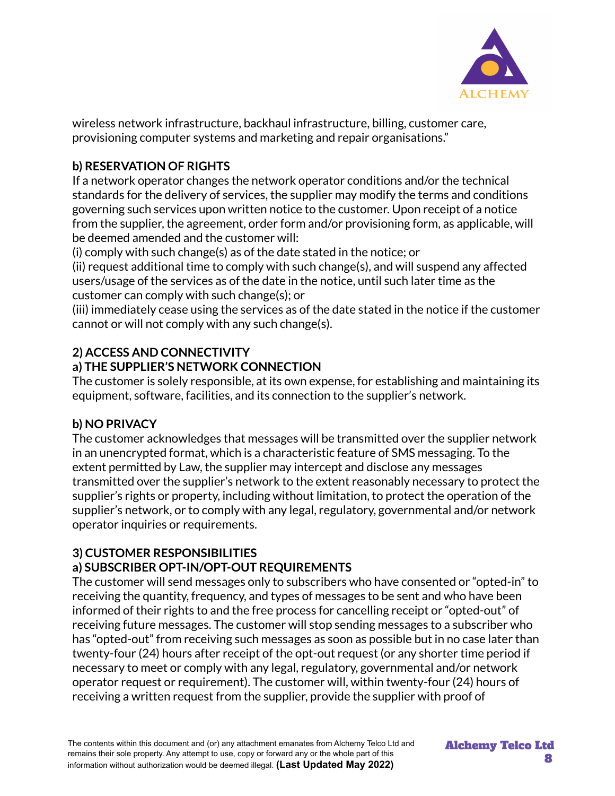

wireless network infrastructure, backhaul infrastructure, billing, customer care, provisioning computer systems and marketing and repair organisations."

# **b) RESERVATION OF RIGHTS**

If a network operator changes the network operator conditions and/or the technical standards for the delivery of services, the supplier may modify the terms and conditions governing such services upon written notice to the customer. Upon receipt of a notice from the supplier, the agreement, order form and/or provisioning form, as applicable, will be deemed amended and the customer will:

(i) comply with such change(s) as of the date stated in the notice; or

(ii) request additional time to comply with such change(s), and will suspend any affected users/usage of the services as of the date in the notice, until such later time as the customer can comply with such change(s); or

(iii) immediately cease using the services as of the date stated in the notice if the customer cannot or will not comply with any such change(s).

# **2) ACCESS AND CONNECTIVITY**

# **a) THE SUPPLIER'S NETWORK CONNECTION**

The customer is solely responsible, at its own expense, for establishing and maintaining its equipment, software, facilities, and its connection to the supplier's network.

### **b) NO PRIVACY**

The customer acknowledges that messages will be transmitted over the supplier network in an unencrypted format, which is a characteristic feature of SMS messaging. To the extent permitted by Law, the supplier may intercept and disclose any messages transmitted over the supplier's network to the extent reasonably necessary to protect the supplier's rights or property, including without limitation, to protect the operation of the supplier's network, or to comply with any legal, regulatory, governmental and/or network operator inquiries or requirements.

# **3) CUSTOMER RESPONSIBILITIES**

# **a) SUBSCRIBER OPT-IN/OPT-OUT REQUIREMENTS**

The customer will send messages only to subscribers who have consented or "opted-in" to receiving the quantity, frequency, and types of messages to be sent and who have been informed of their rights to and the free process for cancelling receipt or "opted-out" of receiving future messages. The customer will stop sending messages to a subscriber who has "opted-out" from receiving such messages as soon as possible but in no case later than twenty-four (24) hours after receipt of the opt-out request (or any shorter time period if necessary to meet or comply with any legal, regulatory, governmental and/or network operator request or requirement). The customer will, within twenty-four (24) hours of receiving a written request from the supplier, provide the supplier with proof of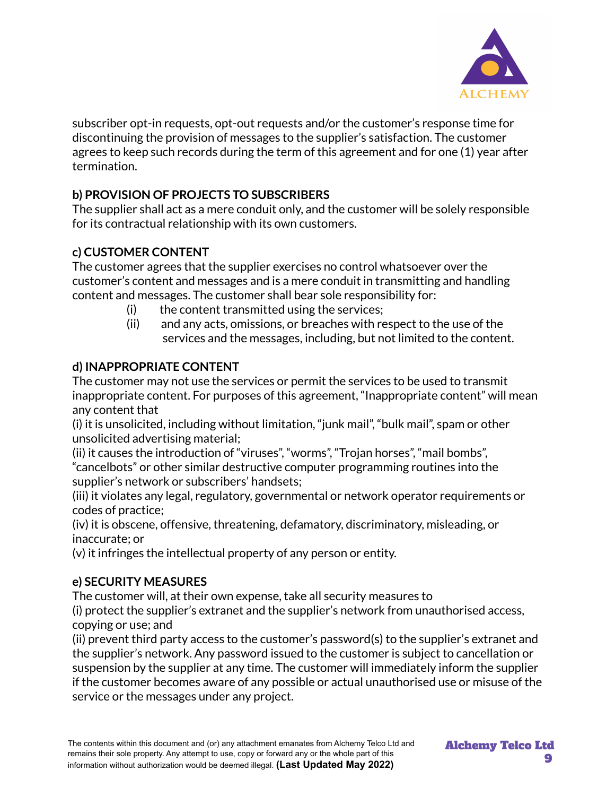

subscriber opt-in requests, opt-out requests and/or the customer's response time for discontinuing the provision of messages to the supplier's satisfaction. The customer agrees to keep such records during the term of this agreement and for one (1) year after termination.

# **b) PROVISION OF PROJECTS TO SUBSCRIBERS**

The supplier shall act as a mere conduit only, and the customer will be solely responsible for its contractual relationship with its own customers.

# **c) CUSTOMER CONTENT**

The customer agrees that the supplier exercises no control whatsoever over the customer's content and messages and is a mere conduit in transmitting and handling content and messages. The customer shall bear sole responsibility for:

- $(i)$  the content transmitted using the services;
- (ii) and any acts, omissions, or breaches with respect to the use of the services and the messages, including, but not limited to the content.

# **d) INAPPROPRIATE CONTENT**

The customer may not use the services or permit the services to be used to transmit inappropriate content. For purposes of this agreement, "Inappropriate content" will mean any content that

(i) it is unsolicited, including without limitation, "junk mail", "bulk mail", spam or other unsolicited advertising material;

(ii) it causes the introduction of "viruses", "worms", "Trojan horses", "mail bombs", "cancelbots" or other similar destructive computer programming routines into the supplier's network or subscribers' handsets;

(iii) it violates any legal, regulatory, governmental or network operator requirements or codes of practice;

(iv) it is obscene, offensive, threatening, defamatory, discriminatory, misleading, or inaccurate; or

(v) it infringes the intellectual property of any person or entity.

# **e) SECURITY MEASURES**

The customer will, at their own expense, take all security measures to

(i) protect the supplier's extranet and the supplier's network from unauthorised access, copying or use; and

(ii) prevent third party access to the customer's password(s) to the supplier's extranet and the supplier's network. Any password issued to the customer is subject to cancellation or suspension by the supplier at any time. The customer will immediately inform the supplier if the customer becomes aware of any possible or actual unauthorised use or misuse of the service or the messages under any project.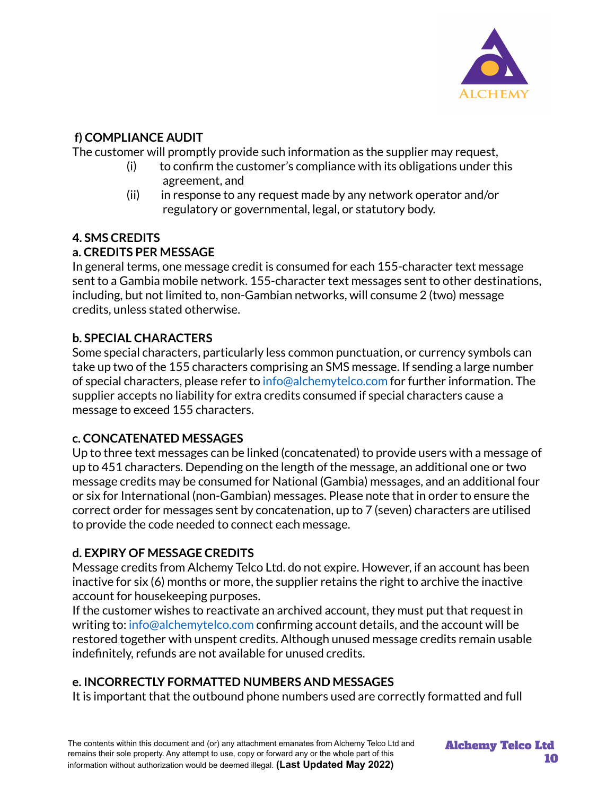

# **f) COMPLIANCE AUDIT**

The customer will promptly provide such information as the supplier may request,

- (i) to confirm the customer's compliance with its obligations under this agreement, and
- (ii) in response to any request made by any network operator and/or regulatory or governmental, legal, or statutory body.

# **4. SMS CREDITS**

# **a. CREDITS PER MESSAGE**

In general terms, one message credit is consumed for each 155-character text message sent to a Gambia mobile network. 155-character text messages sent to other destinations, including, but not limited to, non-Gambian networks, will consume 2 (two) message credits, unless stated otherwise.

# **b. SPECIAL CHARACTERS**

Some special characters, particularly less common punctuation, or currency symbols can take up two of the 155 characters comprising an SMS message. If sending a large number of special characters, please refer to info@alchemytelco.com for further information. The supplier accepts no liability for extra credits consumed if special characters cause a message to exceed 155 characters.

# **c. CONCATENATED MESSAGES**

Up to three text messages can be linked (concatenated) to provide users with a message of up to 451 characters. Depending on the length of the message, an additional one or two message credits may be consumed for National (Gambia) messages, and an additional four or six for International (non-Gambian) messages. Please note that in order to ensure the correct order for messages sent by concatenation, up to 7 (seven) characters are utilised to provide the code needed to connect each message.

# **d. EXPIRY OF MESSAGE CREDITS**

Message credits from Alchemy Telco Ltd. do not expire. However, if an account has been inactive for six (6) months or more, the supplier retains the right to archive the inactive account for housekeeping purposes.

If the customer wishes to reactivate an archived account, they must put that request in writing to: info@alchemytelco.com confirming account details, and the account will be restored together with unspent credits. Although unused message credits remain usable indefinitely, refunds are not available for unused credits.

# **e. INCORRECTLY FORMATTED NUMBERS AND MESSAGES**

It is important that the outbound phone numbers used are correctly formatted and full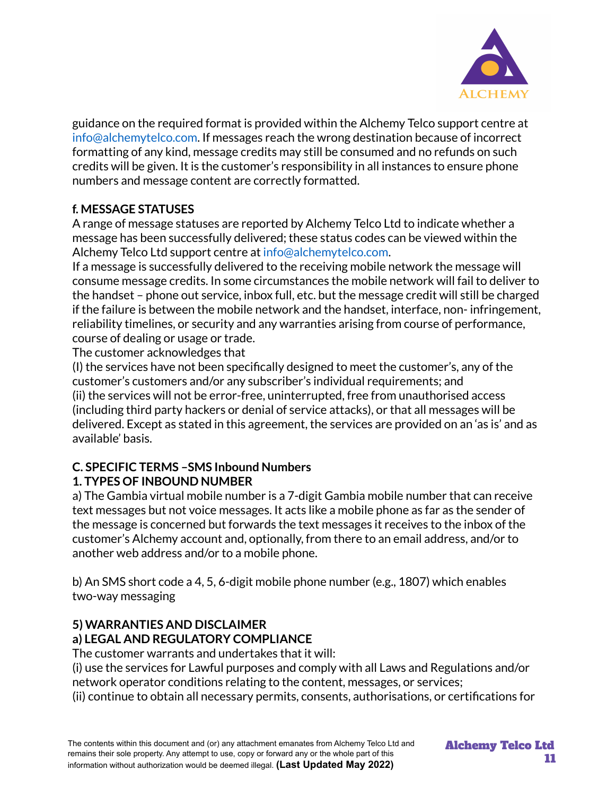

guidance on the required format is provided within the Alchemy Telco support centre at info@alchemytelco.com. If messages reach the wrong destination because of incorrect formatting of any kind, message credits may still be consumed and no refunds on such credits will be given. It is the customer's responsibility in all instances to ensure phone numbers and message content are correctly formatted.

# **f. MESSAGE STATUSES**

A range of message statuses are reported by Alchemy Telco Ltd to indicate whether a message has been successfully delivered; these status codes can be viewed within the Alchemy Telco Ltd support centre at info@alchemytelco.com.

If a message is successfully delivered to the receiving mobile network the message will consume message credits. In some circumstances the mobile network will fail to deliver to the handset – phone out service, inbox full, etc. but the message credit will still be charged if the failure is between the mobile network and the handset, interface, non- infringement, reliability timelines, or security and any warranties arising from course of performance, course of dealing or usage or trade.

The customer acknowledges that

(I) the services have not been specifically designed to meet the customer's, any of the customer's customers and/or any subscriber's individual requirements; and (ii) the services will not be error-free, uninterrupted, free from unauthorised access (including third party hackers or denial of service attacks), or that all messages will be delivered. Except as stated in this agreement, the services are provided on an 'as is' and as available' basis.

# **C. SPECIFIC TERMS –SMS Inbound Numbers 1. TYPES OF INBOUND NUMBER**

a) The Gambia virtual mobile number is a 7-digit Gambia mobile number that can receive text messages but not voice messages. It acts like a mobile phone as far as the sender of the message is concerned but forwards the text messages it receives to the inbox of the customer's Alchemy account and, optionally, from there to an email address, and/or to another web address and/or to a mobile phone.

b) An SMS short code a 4, 5, 6-digit mobile phone number (e.g., 1807) which enables two-way messaging

### **5) WARRANTIES AND DISCLAIMER a) LEGAL AND REGULATORY COMPLIANCE**

The customer warrants and undertakes that it will:

(i) use the services for Lawful purposes and comply with all Laws and Regulations and/or network operator conditions relating to the content, messages, or services;

(ii) continue to obtain all necessary permits, consents, authorisations, or certifications for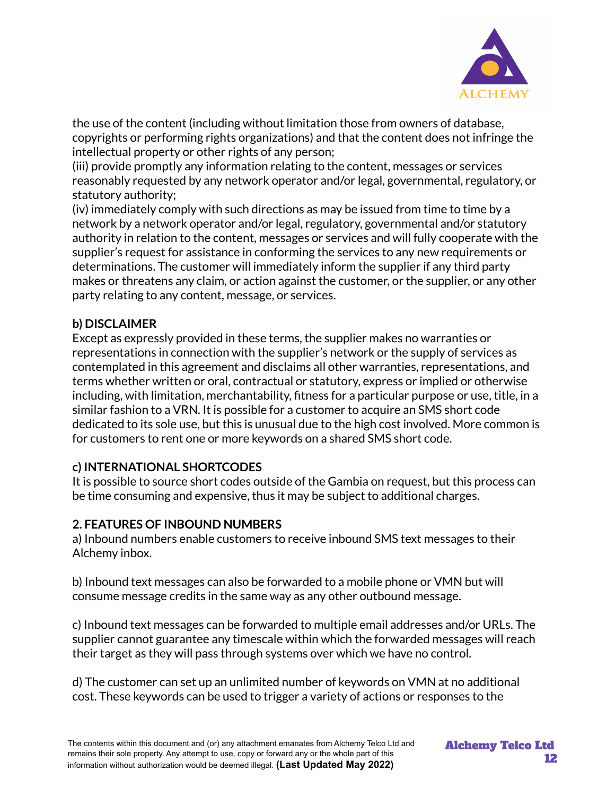

the use of the content (including without limitation those from owners of database, copyrights or performing rights organizations) and that the content does not infringe the intellectual property or other rights of any person;

(iii) provide promptly any information relating to the content, messages or services reasonably requested by any network operator and/or legal, governmental, regulatory, or statutory authority;

(iv) immediately comply with such directions as may be issued from time to time by a network by a network operator and/or legal, regulatory, governmental and/or statutory authority in relation to the content, messages or services and will fully cooperate with the supplier's request for assistance in conforming the services to any new requirements or determinations. The customer will immediately inform the supplier if any third party makes or threatens any claim, or action against the customer, or the supplier, or any other party relating to any content, message, or services.

### **b) DISCLAIMER**

Except as expressly provided in these terms, the supplier makes no warranties or representations in connection with the supplier's network or the supply of services as contemplated in this agreement and disclaims all other warranties, representations, and terms whether written or oral, contractual or statutory, express or implied or otherwise including, with limitation, merchantability, fitness for a particular purpose or use, title, in a similar fashion to a VRN. It is possible for a customer to acquire an SMS short code dedicated to its sole use, but this is unusual due to the high cost involved. More common is for customers to rent one or more keywords on a shared SMS short code.

### **c) INTERNATIONAL SHORTCODES**

It is possible to source short codes outside of the Gambia on request, but this process can be time consuming and expensive, thus it may be subject to additional charges.

# **2. FEATURES OF INBOUND NUMBERS**

a) Inbound numbers enable customers to receive inbound SMS text messages to their Alchemy inbox.

b) Inbound text messages can also be forwarded to a mobile phone or VMN but will consume message credits in the same way as any other outbound message.

c) Inbound text messages can be forwarded to multiple email addresses and/or URLs. The supplier cannot guarantee any timescale within which the forwarded messages will reach their target as they will pass through systems over which we have no control.

d) The customer can set up an unlimited number of keywords on VMN at no additional cost. These keywords can be used to trigger a variety of actions or responses to the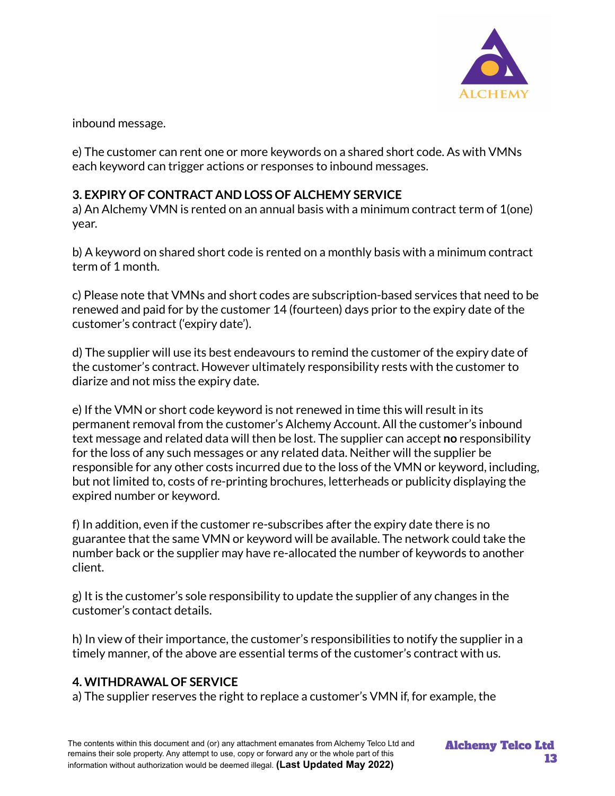

inbound message.

e) The customer can rent one or more keywords on a shared short code. As with VMNs each keyword can trigger actions or responses to inbound messages.

# **3. EXPIRY OF CONTRACT AND LOSS OF ALCHEMY SERVICE**

a) An Alchemy VMN is rented on an annual basis with a minimum contract term of 1(one) year.

b) A keyword on shared short code is rented on a monthly basis with a minimum contract term of 1 month.

c) Please note that VMNs and short codes are subscription-based services that need to be renewed and paid for by the customer 14 (fourteen) days prior to the expiry date of the customer's contract ('expiry date').

d) The supplier will use its best endeavours to remind the customer of the expiry date of the customer's contract. However ultimately responsibility rests with the customer to diarize and not miss the expiry date.

e) If the VMN or short code keyword is not renewed in time this will result in its permanent removal from the customer's Alchemy Account. All the customer's inbound text message and related data will then be lost. The supplier can accept **no** responsibility for the loss of any such messages or any related data. Neither will the supplier be responsible for any other costs incurred due to the loss of the VMN or keyword, including, but not limited to, costs of re-printing brochures, letterheads or publicity displaying the expired number or keyword.

f) In addition, even if the customer re-subscribes after the expiry date there is no guarantee that the same VMN or keyword will be available. The network could take the number back or the supplier may have re-allocated the number of keywords to another client.

g) It is the customer's sole responsibility to update the supplier of any changes in the customer's contact details.

h) In view of their importance, the customer's responsibilities to notify the supplier in a timely manner, of the above are essential terms of the customer's contract with us.

# **4. WITHDRAWAL OF SERVICE**

a) The supplier reserves the right to replace a customer's VMN if, for example, the